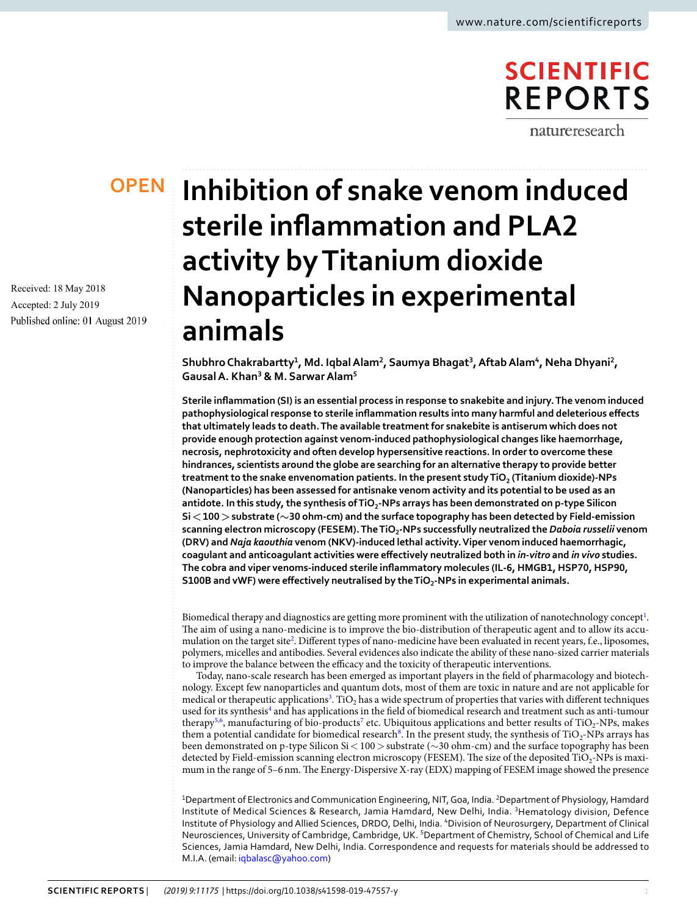# **SCIENTIFIC REPORTS**

natureresearch

# **OPEN**

Received: 18 May 2018 Accepted: 2 July 2019 Published online: 01 August 2019

# **Inhibition of snake venom induced sterile inflammation and PLA2 activity by Titanium dioxide Nanoparticles in experimental animals**

**Shubhro Chakrabartty<sup>1</sup> , Md. Iqbal Alam<sup>2</sup> , Saumya Bhagat<sup>3</sup> , Aftab Alam<sup>4</sup> , Neha Dhyani<sup>2</sup> , Gausal A. Khan<sup>3</sup> & M. Sarwar Alam<sup>5</sup>**

**Sterile inflammation (SI) is an essential process in response to snakebite and injury. The venom induced pathophysiological response to sterile inflammation results into many harmful and deleterious effects that ultimately leads to death. The available treatment for snakebite is antiserum which does not provide enough protection against venom-induced pathophysiological changes like haemorrhage, necrosis, nephrotoxicity and often develop hypersensitive reactions. In order to overcome these hindrances, scientists around the globe are searching for an alternative therapy to provide better treatment to the snake envenomation patients. In the present study TiO<sup>2</sup> (Titanium dioxide)-NPs (Nanoparticles) has been assessed for antisnake venom activity and its potential to be used as an antidote. In this study, the synthesis of TiO<sup>2</sup> -NPs arrays has been demonstrated on p-type Silicon Si < 100 > substrate (∼30 ohm-cm) and the surface topography has been detected by Field-emission scanning electron microscopy (FESEM). The TiO<sup>2</sup> -NPs successfully neutralized the** *Daboia russelii* **venom (DRV) and** *Naja kaouthia* **venom (NKV)-induced lethal activity. Viper venom induced haemorrhagic, coagulant and anticoagulant activities were effectively neutralized both in** *in-vitro* **and** *in vivo* **studies. The cobra and viper venoms-induced sterile inflammatory molecules (IL-6, HMGB1, HSP70, HSP90, S100B and vWF) were effectively neutralised by the TiO<sup>2</sup> -NPs in experimental animals.**

Biomedical therapy and diagnostics are getting more prominent with the utilization of nanotechnology concept<sup>[1](#page-8-0)</sup>. The aim of using a nano-medicine is to improve the bio-distribution of therapeutic agent and to allow its accu-mulation on the target site<sup>[2](#page-8-1)</sup>. Different types of nano-medicine have been evaluated in recent years, f.e., liposomes, polymers, micelles and antibodies. Several evidences also indicate the ability of these nano-sized carrier materials to improve the balance between the efficacy and the toxicity of therapeutic interventions.

Today, nano-scale research has been emerged as important players in the field of pharmacology and biotechnology. Except few nanoparticles and quantum dots, most of them are toxic in nature and are not applicable for medical or therapeutic applications<sup>[3](#page-8-2)</sup>. TiO<sub>2</sub> has a wide spectrum of properties that varies with different techniques used for its synthesis<sup>[4](#page-8-3)</sup> and has applications in the field of biomedical research and treatment such as anti-tumour therapy<sup>[5](#page-8-4),[6](#page-8-5)</sup>, manufacturing of bio-products<sup>[7](#page-8-6)</sup> etc. Ubiquitous applications and better results of TiO<sub>2</sub>-NPs, makes them a potential candidate for biomedical research<sup>[8](#page-8-7)</sup>. In the present study, the synthesis of  $TiO<sub>2</sub>-NPs$  arrays has been demonstrated on p-type Silicon Si < 100 > substrate (∼30 ohm-cm) and the surface topography has been detected by Field-emission scanning electron microscopy (FESEM). The size of the deposited TiO<sub>2</sub>-NPs is maximum in the range of 5–6 nm. The Energy-Dispersive X-ray (EDX) mapping of FESEM image showed the presence

<sup>1</sup>Department of Electronics and Communication Engineering, NIT, Goa, India. <sup>2</sup>Department of Physiology, Hamdard Institute of Medical Sciences & Research, Jamia Hamdard, New Delhi, India. <sup>3</sup>Hematology division, Defence Institute of Physiology and Allied Sciences, DRDO, Delhi, India. <sup>4</sup>Division of Neurosurgery, Department of Clinical Neurosciences, University of Cambridge, Cambridge, UK. <sup>5</sup>Department of Chemistry, School of Chemical and Life Sciences, Jamia Hamdard, New Delhi, India. Correspondence and requests for materials should be addressed to M.I.A. (email: [iqbalasc@yahoo.com](mailto:iqbalasc@yahoo.com))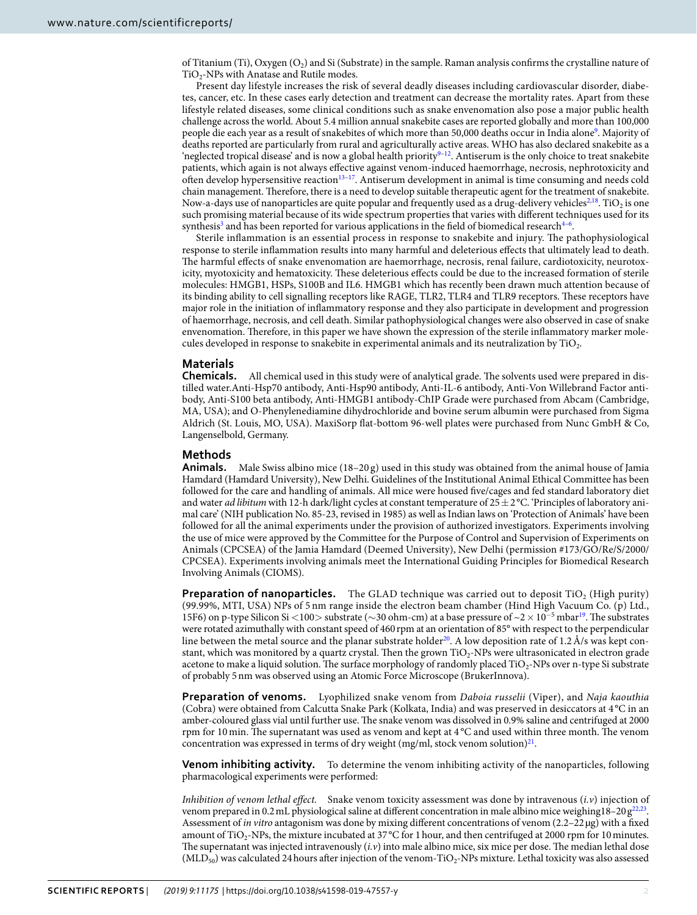of Titanium (Ti), Oxygen  $(O_2)$  and Si (Substrate) in the sample. Raman analysis confirms the crystalline nature of  $TiO<sub>2</sub>$ -NPs with Anatase and Rutile modes.

Present day lifestyle increases the risk of several deadly diseases including cardiovascular disorder, diabetes, cancer, etc. In these cases early detection and treatment can decrease the mortality rates. Apart from these lifestyle related diseases, some clinical conditions such as snake envenomation also pose a major public health challenge across the world. About 5.4 million annual snakebite cases are reported globally and more than 100,000 people die each year as a result of snakebites of which more than 50,000 deaths occur in India alone<sup>[9](#page-8-8)</sup>. Majority of deaths reported are particularly from rural and agriculturally active areas. WHO has also declared snakebite as a 'neglected tropical disease' and is now a global health priority<sup>[9–](#page-8-8)[12](#page-8-9)</sup>. Antiserum is the only choice to treat snakebite patients, which again is not always effective against venom-induced haemorrhage, necrosis, nephrotoxicity and often develop hypersensitive reaction[13–](#page-8-10)[17](#page-8-11). Antiserum development in animal is time consuming and needs cold chain management. Therefore, there is a need to develop suitable therapeutic agent for the treatment of snakebite. Now-a-days use of nanoparticles are quite popular and frequently used as a drug-delivery vehicles $^{2,18}$  $^{2,18}$  $^{2,18}$  $^{2,18}$  $^{2,18}$ . TiO<sub>2</sub> is one such promising material because of its wide spectrum properties that varies with different techniques used for its synthesis<sup>[3](#page-8-2)</sup> and has been reported for various applications in the field of biomedical research<sup>4-[6](#page-8-5)</sup>.

Sterile inflammation is an essential process in response to snakebite and injury. The pathophysiological response to sterile inflammation results into many harmful and deleterious effects that ultimately lead to death. The harmful effects of snake envenomation are haemorrhage, necrosis, renal failure, cardiotoxicity, neurotoxicity, myotoxicity and hematoxicity. These deleterious effects could be due to the increased formation of sterile molecules: HMGB1, HSPs, S100B and IL6. HMGB1 which has recently been drawn much attention because of its binding ability to cell signalling receptors like RAGE, TLR2, TLR4 and TLR9 receptors. These receptors have major role in the initiation of inflammatory response and they also participate in development and progression of haemorrhage, necrosis, and cell death. Similar pathophysiological changes were also observed in case of snake envenomation. Therefore, in this paper we have shown the expression of the sterile inflammatory marker molecules developed in response to snakebite in experimental animals and its neutralization by  $\rm TiO_2$ .

# **Materials**

**Chemicals.** All chemical used in this study were of analytical grade. The solvents used were prepared in distilled water.Anti-Hsp70 antibody, Anti-Hsp90 antibody, Anti-IL-6 antibody, Anti-Von Willebrand Factor antibody, Anti-S100 beta antibody, Anti-HMGB1 antibody-ChIP Grade were purchased from Abcam (Cambridge, MA, USA); and O-Phenylenediamine dihydrochloride and bovine serum albumin were purchased from Sigma Aldrich (St. Louis, MO, USA). MaxiSorp flat-bottom 96-well plates were purchased from Nunc GmbH & Co, Langenselbold, Germany.

## **Methods**

**Animals.** Male Swiss albino mice (18–20 g) used in this study was obtained from the animal house of Jamia Hamdard (Hamdard University), New Delhi. Guidelines of the Institutional Animal Ethical Committee has been followed for the care and handling of animals. All mice were housed five/cages and fed standard laboratory diet and water *ad libitum* with 12-h dark/light cycles at constant temperature of  $25 \pm 2$  °C. 'Principles of laboratory animal care' (NIH publication No. 85-23, revised in 1985) as well as Indian laws on 'Protection of Animals' have been followed for all the animal experiments under the provision of authorized investigators. Experiments involving the use of mice were approved by the Committee for the Purpose of Control and Supervision of Experiments on Animals (CPCSEA) of the Jamia Hamdard (Deemed University), New Delhi (permission #173/GO/Re/S/2000/ CPCSEA). Experiments involving animals meet the International Guiding Principles for Biomedical Research Involving Animals (CIOMS).

**Preparation of nanoparticles.** The GLAD technique was carried out to deposit TiO<sub>2</sub> (High purity) (99.99%, MTI, USA) NPs of 5 nm range inside the electron beam chamber (Hind High Vacuum Co. (p) Ltd., 15F6) on p-type Silicon Si <100> substrate (∼30 ohm-cm) at a base pressure of ~2 × 10<sup>−</sup><sup>5</sup> mbar[19](#page-8-13). The substrates were rotated azimuthally with constant speed of 460 rpm at an orientation of 85° with respect to the perpendicular line between the metal source and the planar substrate holder<sup>[20](#page-8-14)</sup>. A low deposition rate of 1.2 Å/s was kept constant, which was monitored by a quartz crystal. Then the grown TiO2-NPs were ultrasonicated in electron grade acetone to make a liquid solution. The surface morphology of randomly placed TiO<sub>2</sub>-NPs over n-type Si substrate of probably 5 nm was observed using an Atomic Force Microscope (BrukerInnova).

**Preparation of venoms.** Lyophilized snake venom from Daboia russelii (Viper), and Naja kaouthia (Cobra) were obtained from Calcutta Snake Park (Kolkata, India) and was preserved in desiccators at 4 °C in an amber-coloured glass vial until further use. The snake venom was dissolved in 0.9% saline and centrifuged at 2000 rpm for 10 min. The supernatant was used as venom and kept at 4 °C and used within three month. The venom concentration was expressed in terms of dry weight (mg/ml, stock venom solution) $^{21}$  $^{21}$  $^{21}$ .

**Venom inhibiting activity.** To determine the venom inhibiting activity of the nanoparticles, following pharmacological experiments were performed:

Inhibition of venom lethal effect. Snake venom toxicity assessment was done by intravenous  $(i.v)$  injection of venom prepared in 0.2 mL physiological saline at different concentration in male albino mice weighing18–20  $g^{22,23}$  $g^{22,23}$  $g^{22,23}$  $g^{22,23}$ . Assessment of in vitro antagonism was done by mixing different concentrations of venom (2.2–22 µg) with a fixed amount of TiO<sub>2</sub>-NPs, the mixture incubated at 37 °C for 1 hour, and then centrifuged at 2000 rpm for 10 minutes. The supernatant was injected intravenously  $(i, v)$  into male albino mice, six mice per dose. The median lethal dose  $(MLD_{50})$  was calculated 24 hours after injection of the venom-TiO<sub>2</sub>-NPs mixture. Lethal toxicity was also assessed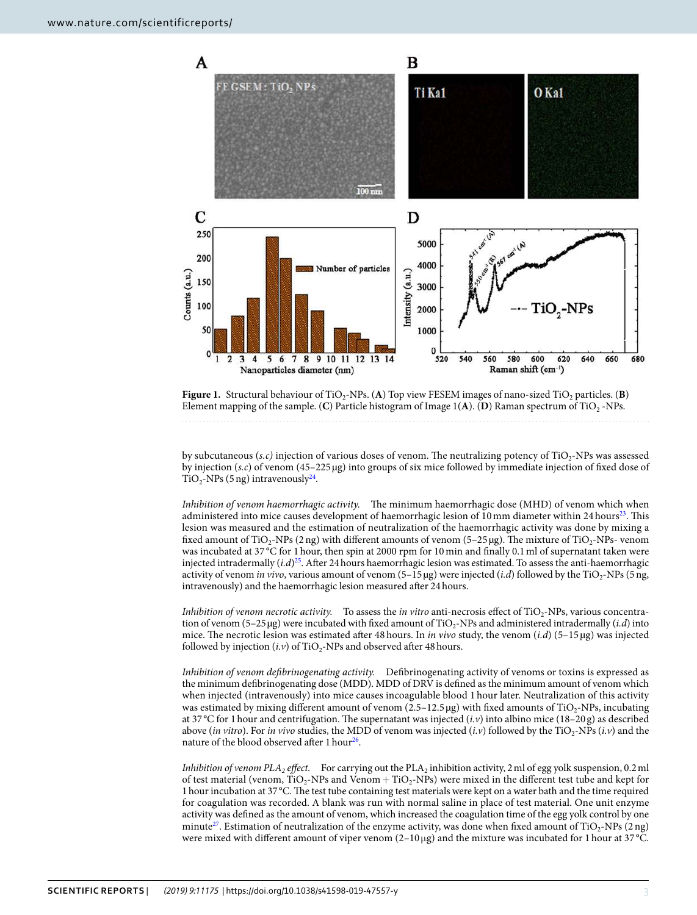

<span id="page-2-0"></span>**Figure 1.** Structural behaviour of TiO<sub>2</sub>-NPs. (A) Top view FESEM images of nano-sized TiO<sub>2</sub> particles. (**B**) Element mapping of the sample. (C) Particle histogram of Image  $1(A)$ . (D) Raman spectrum of TiO<sub>2</sub> -NPs.

by subcutaneous (s.c) injection of various doses of venom. The neutralizing potency of  $\rm TiO_2\text{-}NPs$  was assessed by injection (s.c) of venom (45–225 µg) into groups of six mice followed by immediate injection of fixed dose of  $TiO<sub>2</sub>$ -NPs (5 ng) intravenously<sup>[24](#page-8-18)</sup>.

Inhibition of venom haemorrhagic activity. The minimum haemorrhagic dose (MHD) of venom which when administered into mice causes development of haemorrhagic lesion of 10 mm diameter within 24 hours<sup>[23](#page-8-17)</sup>. This lesion was measured and the estimation of neutralization of the haemorrhagic activity was done by mixing a fixed amount of TiO<sub>2</sub>-NPs (2 ng) with different amounts of venom (5–25 µg). The mixture of TiO<sub>2</sub>-NPs- venom was incubated at 37 °C for 1 hour, then spin at 2000 rpm for 10 min and finally 0.1 ml of supernatant taken were injected intradermally  $(i.d)^{25}$  $(i.d)^{25}$  $(i.d)^{25}$ . After 24 hours haemorrhagic lesion was estimated. To assess the anti-haemorrhagic activity of venom *in vivo*, various amount of venom  $(5-15 \mu g)$  were injected (*i.d*) followed by the TiO<sub>2</sub>-NPs (5 ng, intravenously) and the haemorrhagic lesion measured after 24 hours.

*Inhibition of venom necrotic activity.* To assess the *in vitro* anti-necrosis effect of  $TiO<sub>2</sub>$ -NPs, various concentration of venom (5–25 µg) were incubated with fixed amount of TiO<sub>2</sub>-NPs and administered intradermally (*i.d*) into mice. The necrotic lesion was estimated after 48 hours. In in vivo study, the venom  $(i.d)$  (5–15 µg) was injected followed by injection  $(i.v)$  of TiO<sub>2</sub>-NPs and observed after 48 hours.

Inhibition of venom defibrinogenating activity. Defibrinogenating activity of venoms or toxins is expressed as the minimum defibrinogenating dose (MDD). MDD of DRV is defined as the minimum amount of venom which when injected (intravenously) into mice causes incoagulable blood 1 hour later. Neutralization of this activity was estimated by mixing different amount of venom  $(2.5-12.5 \,\mu g)$  with fixed amounts of TiO<sub>2</sub>-NPs, incubating at 37 °C for 1 hour and centrifugation. The supernatant was injected  $(i.v)$  into albino mice (18–20 g) as described above (in vitro). For in vivo studies, the MDD of venom was injected (i.v) followed by the TiO<sub>2</sub>-NPs (i.v) and the nature of the blood observed after 1 hour<sup>[26](#page-8-20)</sup>.

*Inhibition of venom PLA<sub>2</sub> effect.* For carrying out the PLA<sub>2</sub> inhibition activity, 2 ml of egg yolk suspension, 0.2 ml of test material (venom,  $TiO_2$ -NPs and Venom +  $TiO_2$ -NPs) were mixed in the different test tube and kept for 1 hour incubation at 37 °C. The test tube containing test materials were kept on a water bath and the time required for coagulation was recorded. A blank was run with normal saline in place of test material. One unit enzyme activity was defined as the amount of venom, which increased the coagulation time of the egg yolk control by one minute<sup>[27](#page-8-21)</sup>. Estimation of neutralization of the enzyme activity, was done when fixed amount of  $TiO_2$ -NPs (2 ng) were mixed with different amount of viper venom  $(2-10 \mu g)$  and the mixture was incubated for 1 hour at 37°C.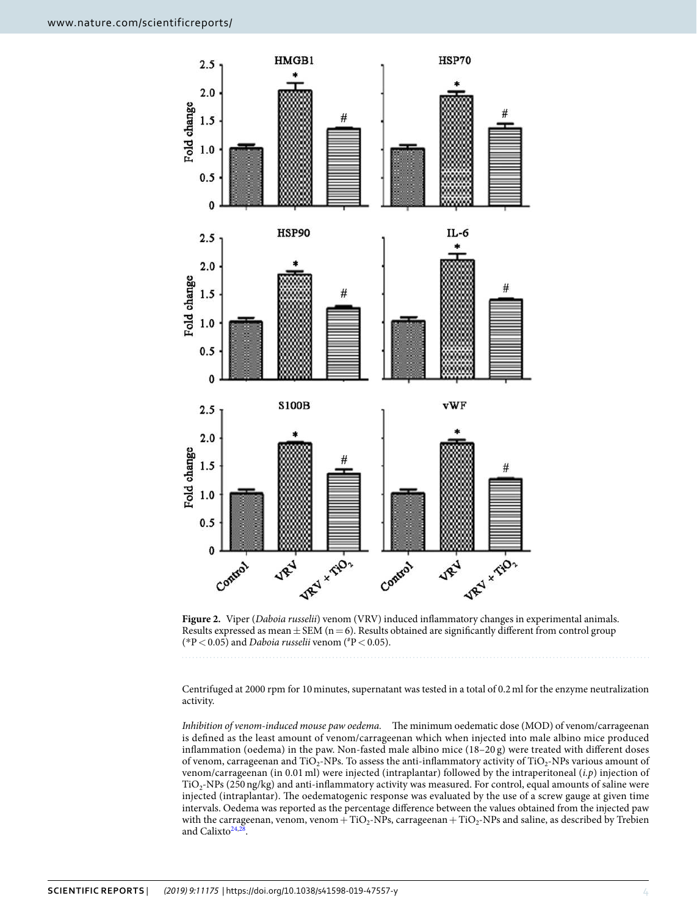

<span id="page-3-0"></span>Figure 2. Viper (Daboia russelii) venom (VRV) induced inflammatory changes in experimental animals. Results expressed as mean  $\pm$  SEM (n = 6). Results obtained are significantly different from control group (\*P < 0.05) and *Daboia russelii* venom (\*P < 0.05).

Centrifuged at 2000 rpm for 10 minutes, supernatant was tested in a total of 0.2 ml for the enzyme neutralization activity.

Inhibition of venom-induced mouse paw oedema. The minimum oedematic dose (MOD) of venom/carrageenan is defined as the least amount of venom/carrageenan which when injected into male albino mice produced inflammation (oedema) in the paw. Non-fasted male albino mice (18–20 g) were treated with different doses of venom, carrageenan and  $TiO_2$ -NPs. To assess the anti-inflammatory activity of  $TiO_2$ -NPs various amount of venom/carrageenan (in 0.01 ml) were injected (intraplantar) followed by the intraperitoneal (i.p) injection of TiO<sub>2</sub>-NPs (250 ng/kg) and anti-inflammatory activity was measured. For control, equal amounts of saline were injected (intraplantar). The oedematogenic response was evaluated by the use of a screw gauge at given time intervals. Oedema was reported as the percentage difference between the values obtained from the injected paw with the carrageenan, venom, venom + TiO<sub>2</sub>-NPs, carrageenan + TiO<sub>2</sub>-NPs and saline, as described by Trebien and Calixto<sup>[24](#page-8-18)[,28](#page-8-22)</sup>.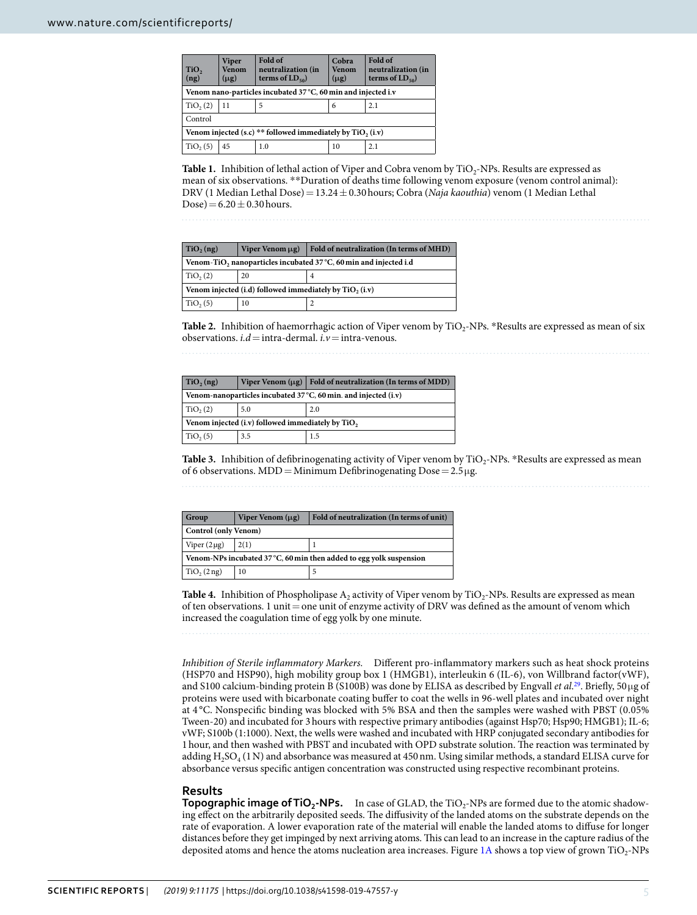<span id="page-4-0"></span>

| <b>Viper</b><br><b>Venom</b><br>$(\mu$ g)                     | Fold of<br>neutralization (in<br>terms of $LD_{50}$ | Cobra<br>Venom<br>$(\mu$ g) | Fold of<br>neutralization (in<br>terms of $LD_{50}$ |  |  |
|---------------------------------------------------------------|-----------------------------------------------------|-----------------------------|-----------------------------------------------------|--|--|
| Venom nano-particles incubated 37 °C, 60 min and injected i.v |                                                     |                             |                                                     |  |  |
| 11                                                            | 5                                                   | 6                           | 2.1                                                 |  |  |
| Control                                                       |                                                     |                             |                                                     |  |  |
| Venom injected (s.c) ** followed immediately by $TiO2$ (i.v)  |                                                     |                             |                                                     |  |  |
| 45                                                            | 1.0                                                 | 10                          | 2.1                                                 |  |  |
|                                                               |                                                     |                             |                                                     |  |  |

**Table 1.** Inhibition of lethal action of Viper and Cobra venom by  $\text{TiO}_2$ -NPs. Results are expressed as mean of six observations. \*\*Duration of deaths time following venom exposure (venom control animal): DRV (1 Median Lethal Dose) = 13.24 ± 0.30 hours; Cobra (Naja kaouthia) venom (1 Median Lethal Dose) =  $6.20 \pm 0.30$  hours.

<span id="page-4-1"></span>

| $TiO2$ (ng)                                                                   | Viper Venom $\mu$ g) | Fold of neutralization (In terms of MHD) |  |  |
|-------------------------------------------------------------------------------|----------------------|------------------------------------------|--|--|
| Venom-TiO <sub>2</sub> nanoparticles incubated 37 °C, 60 min and injected i.d |                      |                                          |  |  |
| TiO <sub>2</sub> (2)                                                          | 20                   | 4                                        |  |  |
| Venom injected (i.d) followed immediately by $TiO2$ (i.v)                     |                      |                                          |  |  |
| TiO <sub>2</sub> (5)                                                          | 10                   |                                          |  |  |

**Table 2.** Inhibition of haemorrhagic action of Viper venom by TiO<sub>2</sub>-NPs. \*Results are expressed as mean of six observations.  $i.d =$  intra-dermal.  $i.v =$  intra-venous.

<span id="page-4-2"></span>

| TiO <sub>2</sub> (ng)                                           |     | Viper Venom $(\mu g)$   Fold of neutralization (In terms of MDD) |  |  |
|-----------------------------------------------------------------|-----|------------------------------------------------------------------|--|--|
| Venom-nanoparticles incubated 37 °C, 60 min. and injected (i.v) |     |                                                                  |  |  |
| TiO <sub>2</sub> (2)                                            | 5.0 | 2.0                                                              |  |  |
| Venom injected (i.v) followed immediately by TiO <sub>2</sub>   |     |                                                                  |  |  |
| TiO <sub>2</sub> (5)                                            | 3.5 | 1.5                                                              |  |  |

Table 3. Inhibition of defibrinogenating activity of Viper venom by TiO<sub>2</sub>-NPs. \*Results are expressed as mean of 6 observations. MDD = Minimum Defibrinogenating  $Dose = 2.5 \mu g$ .

<span id="page-4-3"></span>

| Group                                                                        | Viper Venom $(\mu$ g) | Fold of neutralization (In terms of unit) |  |  |
|------------------------------------------------------------------------------|-----------------------|-------------------------------------------|--|--|
| Control (only Venom)                                                         |                       |                                           |  |  |
| Viper $(2 \mu g)$                                                            | 2(1)                  |                                           |  |  |
| Venom-NPs incubated $37^{\circ}$ C, 60 min then added to egg yolk suspension |                       |                                           |  |  |
| TiO <sub>2</sub> (2 ng)                                                      | 10                    |                                           |  |  |

**Table 4.** Inhibition of Phospholipase  $A_2$  activity of Viper venom by TiO<sub>2</sub>-NPs. Results are expressed as mean of ten observations. 1 unit = one unit of enzyme activity of DRV was defined as the amount of venom which increased the coagulation time of egg yolk by one minute.

Inhibition of Sterile inflammatory Markers. Different pro-inflammatory markers such as heat shock proteins (HSP70 and HSP90), high mobility group box 1 (HMGB1), interleukin 6 (IL-6), von Willbrand factor(vWF), and S100 calcium-binding protein B (S100B) was done by ELISA as described by Engvall et al.<sup>[29](#page-8-23)</sup>. Briefly, 50  $\mu$ g of proteins were used with bicarbonate coating buffer to coat the wells in 96-well plates and incubated over night at 4 °C. Nonspecific binding was blocked with 5% BSA and then the samples were washed with PBST (0.05% Tween-20) and incubated for 3 hours with respective primary antibodies (against Hsp70; Hsp90; HMGB1); IL-6; vWF; S100b (1:1000). Next, the wells were washed and incubated with HRP conjugated secondary antibodies for 1 hour, and then washed with PBST and incubated with OPD substrate solution. The reaction was terminated by adding  $\rm H_2SO_4$  (1 N) and absorbance was measured at 450 nm. Using similar methods, a standard ELISA curve for absorbance versus specific antigen concentration was constructed using respective recombinant proteins.

### **Results**

**Topographic image of TiO<sub>2</sub>-NPs.** In case of GLAD, the TiO<sub>2</sub>-NPs are formed due to the atomic shadowing effect on the arbitrarily deposited seeds. The diffusivity of the landed atoms on the substrate depends on the rate of evaporation. A lower evaporation rate of the material will enable the landed atoms to diffuse for longer distances before they get impinged by next arriving atoms. This can lead to an increase in the capture radius of the deposited atoms and hence the atoms nucleation area increases. Figure [1A](#page-2-0) shows a top view of grown  $TiO_2$ -NPs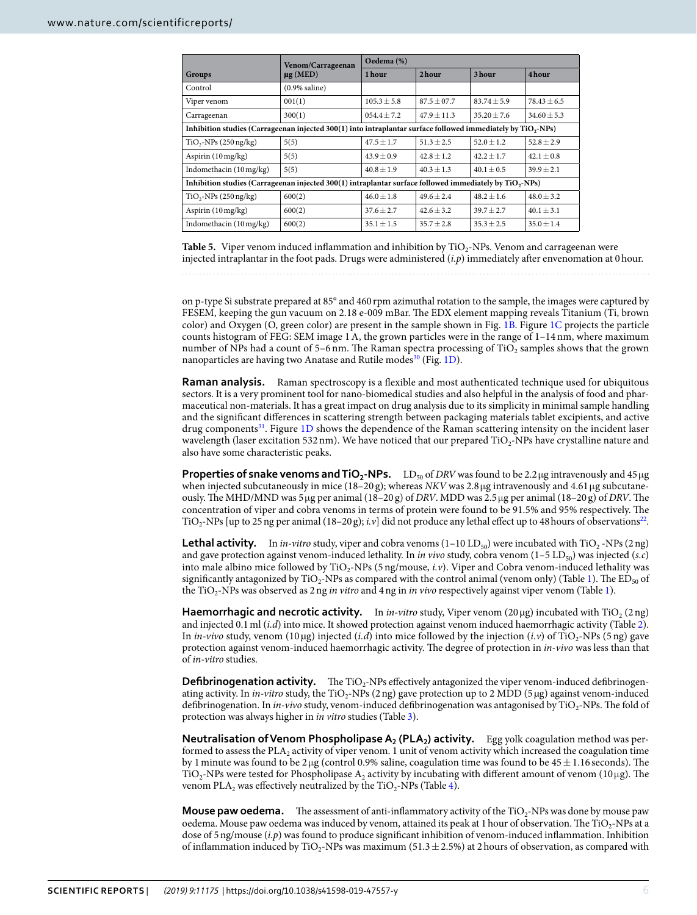<span id="page-5-0"></span>

|                                                                                                                     | Venom/Carrageenan<br>$\mu$ g (MED) | Oedema (%)     |                 |               |                |  |
|---------------------------------------------------------------------------------------------------------------------|------------------------------------|----------------|-----------------|---------------|----------------|--|
| Groups                                                                                                              |                                    | 1 hour         | 2hour           | 3 hour        | 4 hour         |  |
| Control                                                                                                             | $(0.9\%$ saline)                   |                |                 |               |                |  |
| Viper venom                                                                                                         | 001(1)                             | $105.3 + 5.8$  | $87.5 + 07.7$   | $83.74 + 5.9$ | $78.43 + 6.5$  |  |
| Carrageenan                                                                                                         | 300(1)                             | $054.4 + 7.2$  | $47.9 \pm 11.3$ | $35.20 + 7.6$ | $34.60 + 5.3$  |  |
| Inhibition studies (Carrageenan injected 300(1) into intraplantar surface followed immediately by $TiO_2$ -NPs)     |                                    |                |                 |               |                |  |
| $TiO2-NPs (250 ng/kg)$                                                                                              | 5(5)                               | $47.5 + 1.7$   | $51.3 + 2.5$    | $52.0 + 1.2$  | $52.8 \pm 2.9$ |  |
| Aspirin (10 mg/kg)                                                                                                  | 5(5)                               | $43.9 \pm 0.9$ | $42.8 + 1.2$    | $42.2 + 1.7$  | $42.1 \pm 0.8$ |  |
| Indomethacin (10 mg/kg)                                                                                             | 5(5)                               | $40.8 + 1.9$   | $40.3 + 1.3$    | $40.1 + 0.5$  | $39.9 + 2.1$   |  |
| Inhibition studies (Carrageenan injected 300(1) intraplantar surface followed immediately by TiO <sub>2</sub> -NPs) |                                    |                |                 |               |                |  |
| $TiO2-NPs (250 ng/kg)$                                                                                              | 600(2)                             | $46.0 \pm 1.8$ | $49.6 + 2.4$    | $48.2 + 1.6$  | $48.0 + 3.2$   |  |
| Aspirin $(10 \,\text{mg/kg})$                                                                                       | 600(2)                             | $37.6 + 2.7$   | $42.6 + 3.2$    | $39.7 + 2.7$  | $40.1 + 3.1$   |  |
| Indomethacin $(10 \text{ mg/kg})$                                                                                   | 600(2)                             | $35.1 + 1.5$   | $35.7 + 2.8$    | $35.3 + 2.5$  | $35.0 + 1.4$   |  |

Table 5. Viper venom induced inflammation and inhibition by TiO<sub>2</sub>-NPs. Venom and carrageenan were injected intraplantar in the foot pads. Drugs were administered  $(i, p)$  immediately after envenomation at 0 hour.

on p-type Si substrate prepared at 85° and 460 rpm azimuthal rotation to the sample, the images were captured by FESEM, keeping the gun vacuum on 2.18 e-009 mBar. The EDX element mapping reveals Titanium (Ti, brown color) and Oxygen (O, green color) are present in the sample shown in Fig. [1B.](#page-2-0) Figure [1C](#page-2-0) projects the particle counts histogram of FEG: SEM image 1 A, the grown particles were in the range of 1–14 nm, where maximum number of NPs had a count of 5–6 nm. The Raman spectra processing of TiO<sub>2</sub> samples shows that the grown nanoparticles are having two Anatase and Rutile modes<sup>[30](#page-8-24)</sup> (Fig. [1D](#page-2-0)).

**Raman analysis.** Raman spectroscopy is a flexible and most authenticated technique used for ubiquitous sectors. It is a very prominent tool for nano-biomedical studies and also helpful in the analysis of food and pharmaceutical non-materials. It has a great impact on drug analysis due to its simplicity in minimal sample handling and the significant differences in scattering strength between packaging materials tablet excipients, and active drug components[31](#page-8-25). Figure [1D](#page-2-0) shows the dependence of the Raman scattering intensity on the incident laser wavelength (laser excitation 532 nm). We have noticed that our prepared  $\rm TiO_2$ -NPs have crystalline nature and also have some characteristic peaks.

**Properties of snake venoms and**  $TiO_2$ **-NPs.**  $LD_{50}$  **of DRV was found to be 2.2 µg intravenously and 45 µg** when injected subcutaneously in mice (18–20 g); whereas NKV was 2.8 µg intravenously and 4.61 µg subcutaneously. The MHD/MND was 5 µg per animal (18–20 g) of DRV. MDD was 2.5 µg per animal (18–20 g) of DRV. The concentration of viper and cobra venoms in terms of protein were found to be 91.5% and 95% respectively. The TiO<sub>2</sub>-NPs [up to 25 ng per animal (18–20 g); *i.v*] did not produce any lethal effect up to 48 hours of observations<sup>[22](#page-8-16)</sup>.

**Lethal activity.** In in-vitro study, viper and cobra venoms  $(1-10 LD_{50})$  were incubated with TiO<sub>2</sub> -NPs  $(2 \n{ n} g)$ and gave protection against venom-induced lethality. In in vivo study, cobra venom  $(1-5 \text{ LD}_{50})$  was injected (s.c) into male albino mice followed by TiO<sub>2</sub>-NPs (5 ng/mouse, *i.v*). Viper and Cobra venom-induced lethality was significantly antagonized by TiO<sub>2</sub>-NPs as compared with the control animal (venom only) (Table [1\)](#page-4-0). The  $ED_{50}$  of the TiO<sub>2</sub>-NPs was observed as 2 ng *in vitro* and 4 ng in *in vivo* respectively against viper venom (Table [1](#page-4-0)).

Haemorrhagic and necrotic activity. In in-vitro study, Viper venom (20µg) incubated with TiO<sub>2</sub> (2ng) and injected 0.1 ml (*i.d*) into mice. It showed protection against venom induced haemorrhagic activity (Table [2](#page-4-1)). In in-vivo study, venom (10 µg) injected (i.d) into mice followed by the injection (i.v) of TiO<sub>2</sub>-NPs (5 ng) gave protection against venom-induced haemorrhagic activity. The degree of protection in in-vivo was less than that of in-vitro studies.

Defibrinogenation activity. The TiO<sub>2</sub>-NPs effectively antagonized the viper venom-induced defibrinogenating activity. In *in-vitro* study, the TiO<sub>2</sub>-NPs (2 ng) gave protection up to 2 MDD (5 µg) against venom-induced defibrinogenation. In *in-vivo* study, venom-induced defibrinogenation was antagonised by TiO<sub>2</sub>-NPs. The fold of protection was always higher in in vitro studies (Table [3\)](#page-4-2).

**Neutralisation of Venom Phospholipase A<sub>2</sub> (PLA<sub>2</sub>) activity. Egg yolk coagulation method was per**formed to assess the PLA<sub>2</sub> activity of viper venom. 1 unit of venom activity which increased the coagulation time by 1 minute was found to be  $2 \mu g$  (control 0.9% saline, coagulation time was found to be  $45 \pm 1.16$  seconds). The TiO<sub>2</sub>-NPs were tested for Phospholipase A<sub>2</sub> activity by incubating with different amount of venom (10µg). The venom PLA<sub>2</sub> was effectively neutralized by the TiO<sub>2</sub>-NPs (Table [4\)](#page-4-3).

**Mouse paw oedema.** The assessment of anti-inflammatory activity of the TiO<sub>2</sub>-NPs was done by mouse paw oedema. Mouse paw oedema was induced by venom, attained its peak at 1 hour of observation. The TiO<sub>2</sub>-NPs at a dose of 5 ng/mouse (i.p) was found to produce significant inhibition of venom-induced inflammation. Inhibition of inflammation induced by TiO<sub>2</sub>-NPs was maximum (51.3  $\pm$  2.5%) at 2 hours of observation, as compared with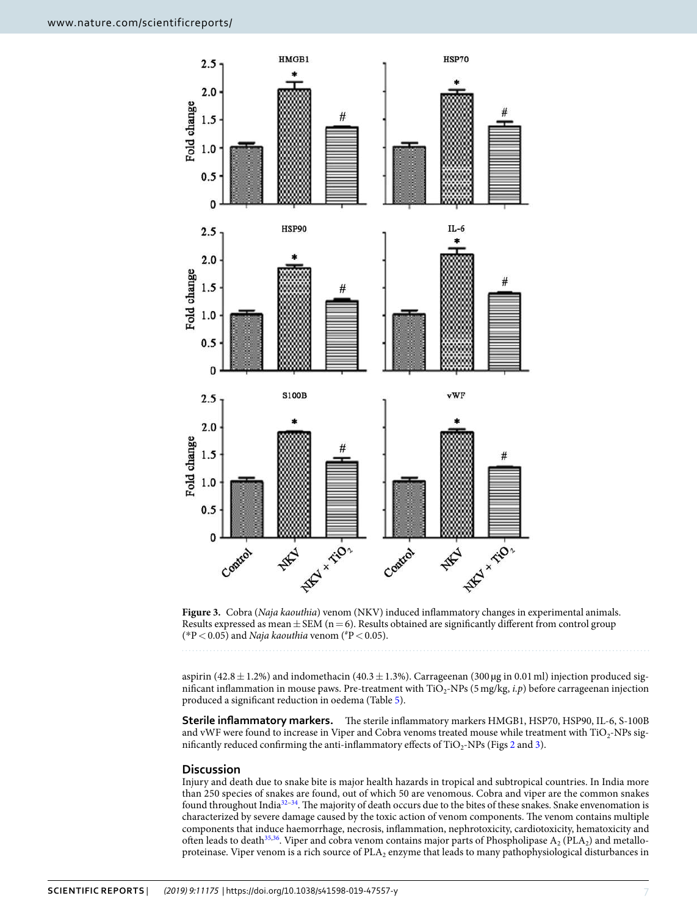

<span id="page-6-0"></span>**Figure 3.** Cobra (Naja kaouthia) venom (NKV) induced inflammatory changes in experimental animals. Results expressed as mean  $\pm$  SEM (n = 6). Results obtained are significantly different from control group (\*P < 0.05) and *Naja kaouthia* venom (\*P < 0.05).

aspirin (42.8  $\pm$  1.2%) and indomethacin (40.3  $\pm$  1.3%). Carrageenan (300 µg in 0.01 ml) injection produced significant inflammation in mouse paws. Pre-treatment with  $TiO_2$ -NPs (5 mg/kg, *i.p*) before carrageenan injection produced a significant reduction in oedema (Table [5\)](#page-5-0).

**Sterile inflammatory markers.** The sterile inflammatory markers HMGB1, HSP70, HSP90, IL-6, S-100B and vWF were found to increase in Viper and Cobra venoms treated mouse while treatment with  $\rm TiO_2$ -NPs significantly reduced confirming the anti-inflammatory effects of  $\text{TiO}_2\text{-NPs}$  (Figs [2](#page-3-0) and [3\)](#page-6-0).

## **Discussion**

Injury and death due to snake bite is major health hazards in tropical and subtropical countries. In India more than 250 species of snakes are found, out of which 50 are venomous. Cobra and viper are the common snakes found throughout India<sup>[32–](#page-8-26)[34](#page-8-27)</sup>. The majority of death occurs due to the bites of these snakes. Snake envenomation is characterized by severe damage caused by the toxic action of venom components. The venom contains multiple components that induce haemorrhage, necrosis, inflammation, nephrotoxicity, cardiotoxicity, hematoxicity and often leads to death<sup>[35,](#page-8-28)[36](#page-8-29)</sup>. Viper and cobra venom contains major parts of Phospholipase  $A_2$  (PLA<sub>2</sub>) and metalloproteinase. Viper venom is a rich source of  $\text{PLA}_2$  enzyme that leads to many pathophysiological disturbances in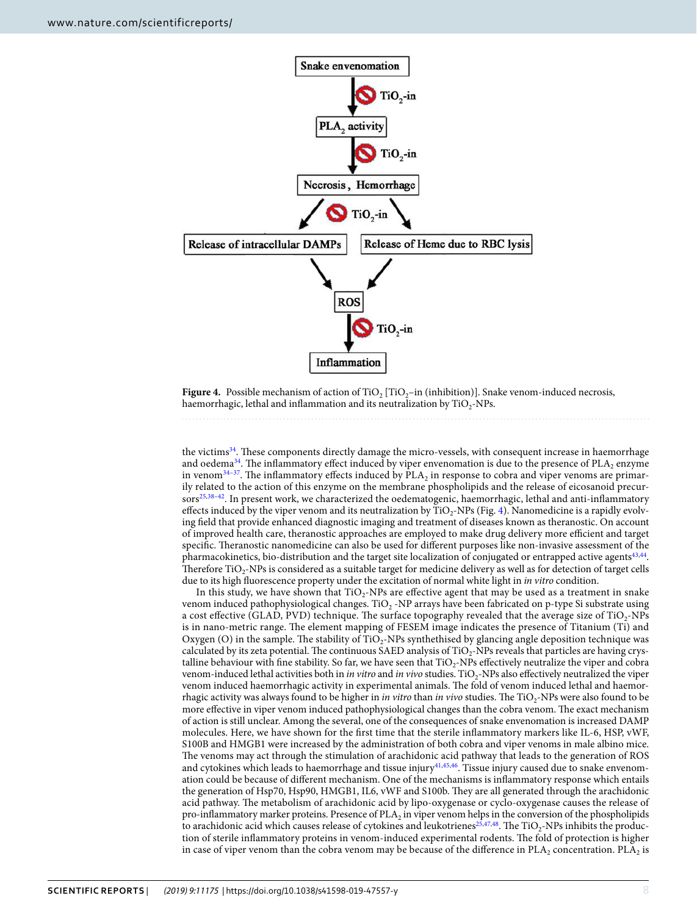

<span id="page-7-0"></span>**Figure 4.** Possible mechanism of action of  $TiO<sub>2</sub>$  [TiO<sub>2</sub>-in (inhibition)]. Snake venom-induced necrosis, haemorrhagic, lethal and inflammation and its neutralization by  $\rm TiO_2\text{-}NPs$ .

the victims<sup>[34](#page-8-27)</sup>. These components directly damage the micro-vessels, with consequent increase in haemorrhage and oedema<sup>[34](#page-8-27)</sup>. The inflammatory effect induced by viper envenomation is due to the presence of  $\text{PLA}_2$  enzyme in venom $34-37$  $34-37$ . The inflammatory effects induced by  $\text{PLA}_2$  in response to cobra and viper venoms are primarily related to the action of this enzyme on the membrane phospholipids and the release of eicosanoid precur-sors<sup>[25](#page-8-19)[,38](#page-8-31)[–42](#page-9-0)</sup>. In present work, we characterized the oedematogenic, haemorrhagic, lethal and anti-inflammatory effects induced by the viper venom and its neutralization by  $TiO_2$ -NPs (Fig. [4](#page-7-0)). Nanomedicine is a rapidly evolving field that provide enhanced diagnostic imaging and treatment of diseases known as theranostic. On account of improved health care, theranostic approaches are employed to make drug delivery more efficient and target specific. Theranostic nanomedicine can also be used for different purposes like non-invasive assessment of the pharmacokinetics, bio-distribution and the target site localization of conjugated or entrapped active agents<sup>[43,](#page-9-1)[44](#page-9-2)</sup>. Therefore  $TiO_2$ -NPs is considered as a suitable target for medicine delivery as well as for detection of target cells due to its high fluorescence property under the excitation of normal white light in in vitro condition.

In this study, we have shown that  $TiO<sub>2</sub>$ -NPs are effective agent that may be used as a treatment in snake venom induced pathophysiological changes. TiO<sub>2</sub> -NP arrays have been fabricated on p-type Si substrate using a cost effective (GLAD, PVD) technique. The surface topography revealed that the average size of  $\text{TiO}_2\text{-NPs}$ is in nano-metric range. The element mapping of FESEM image indicates the presence of Titanium (Ti) and Oxygen (O) in the sample. The stability of  $TiO_2$ -NPs synthethised by glancing angle deposition technique was calculated by its zeta potential. The continuous SAED analysis of  $TiO_2$ -NPs reveals that particles are having crystalline behaviour with fine stability. So far, we have seen that TiO2-NPs effectively neutralize the viper and cobra venom-induced lethal activities both in *in vitro* and *in vivo* studies. TiO<sub>2</sub>-NPs also effectively neutralized the viper venom induced haemorrhagic activity in experimental animals. The fold of venom induced lethal and haemorrhagic activity was always found to be higher in *in vitro* than *in vivo* studies. The  $TiO_2$ -NPs were also found to be more effective in viper venom induced pathophysiological changes than the cobra venom. The exact mechanism of action is still unclear. Among the several, one of the consequences of snake envenomation is increased DAMP molecules. Here, we have shown for the first time that the sterile inflammatory markers like IL-6, HSP, vWF, S100B and HMGB1 were increased by the administration of both cobra and viper venoms in male albino mice. The venoms may act through the stimulation of arachidonic acid pathway that leads to the generation of ROS and cytokines which leads to haemorrhage and tissue injury<sup>[41](#page-8-32),[45](#page-9-3),[46](#page-9-4)</sup>. Tissue injury caused due to snake envenomation could be because of different mechanism. One of the mechanisms is inflammatory response which entails the generation of Hsp70, Hsp90, HMGB1, IL6, vWF and S100b. They are all generated through the arachidonic acid pathway. The metabolism of arachidonic acid by lipo-oxygenase or cyclo-oxygenase causes the release of pro-inflammatory marker proteins. Presence of PLA<sub>2</sub> in viper venom helps in the conversion of the phospholipids to arachidonic acid which causes release of cytokines and leukotrienes<sup>[25](#page-8-19),[47](#page-9-5),[48](#page-9-6)</sup>. The  $\rm TiO_2$ -NPs inhibits the production of sterile inflammatory proteins in venom-induced experimental rodents. The fold of protection is higher in case of viper venom than the cobra venom may be because of the difference in  $PLA_2$  concentration.  $PLA_2$  is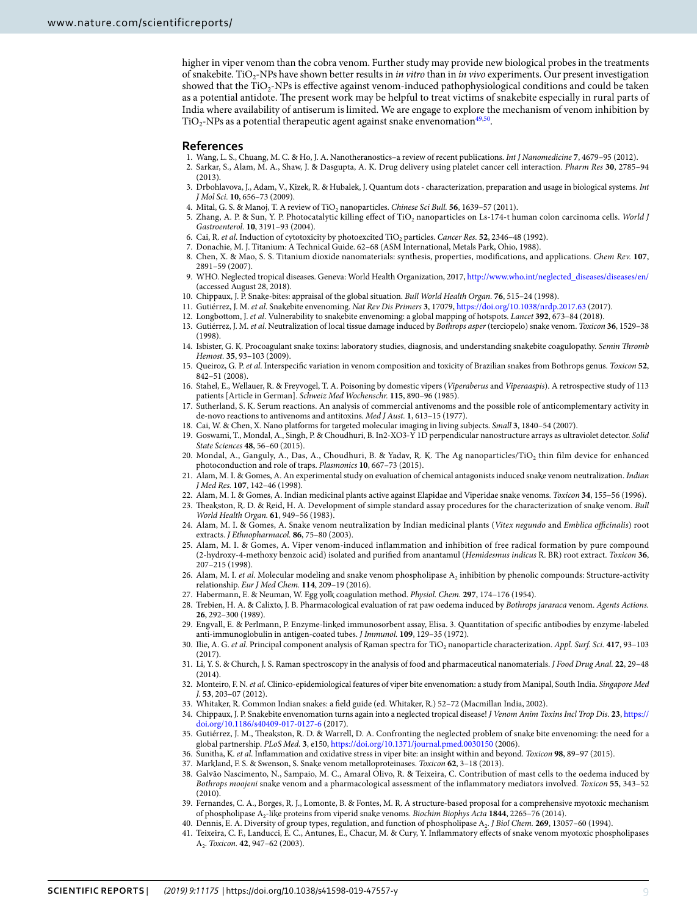higher in viper venom than the cobra venom. Further study may provide new biological probes in the treatments of snakebite. TiO<sub>2</sub>-NPs have shown better results in *in vitro* than in *in vivo* experiments. Our present investigation showed that the  $\rm TiO_2$ -NPs is effective against venom-induced pathophysiological conditions and could be taken as a potential antidote. The present work may be helpful to treat victims of snakebite especially in rural parts of India where availability of antiserum is limited. We are engage to explore the mechanism of venom inhibition by  $TiO<sub>2</sub>$ -NPs as a potential therapeutic agent against snake envenomation<sup>[49](#page-9-7)[,50](#page-9-8)</sup>.

#### **References**

- <span id="page-8-0"></span>1. Wang, L. S., Chuang, M. C. & Ho, J. A. Nanotheranostics–a review of recent publications. Int J Nanomedicine **7**, 4679–95 (2012).
- <span id="page-8-1"></span> 2. Sarkar, S., Alam, M. A., Shaw, J. & Dasgupta, A. K. Drug delivery using platelet cancer cell interaction. Pharm Res **30**, 2785–94  $(2013)$
- <span id="page-8-2"></span> 3. Drbohlavova, J., Adam, V., Kizek, R. & Hubalek, J. Quantum dots - characterization, preparation and usage in biological systems. Int J Mol Sci. **10**, 656–73 (2009).
- <span id="page-8-3"></span>4. Mital, G. S. & Manoj, T. A review of TiO<sub>2</sub> nanoparticles. Chinese Sci Bull. **56**, 1639–57 (2011).
- <span id="page-8-4"></span>5. Zhang, A. P. & Sun, Y. P. Photocatalytic killing effect of  $TiO_2$  nanoparticles on Ls-174-t human colon carcinoma cells. World J Gastroenterol. **10**, 3191–93 (2004).
- <span id="page-8-5"></span>6. Cai, R. et al. Induction of cytotoxicity by photoexcited TiO<sup>2</sup> particles. Cancer Res. **52**, 2346–48 (1992).
- <span id="page-8-6"></span>7. Donachie, M. J. Titanium: A Technical Guide. 62–68 (ASM International, Metals Park, Ohio, 1988).
- <span id="page-8-7"></span> 8. Chen, X. & Mao, S. S. Titanium dioxide nanomaterials: synthesis, properties, modifications, and applications. Chem Rev. **107**, 2891–59 (2007).
- <span id="page-8-8"></span> 9. WHO. Neglected tropical diseases. Geneva: World Health Organization, 2017, [http://www.who.int/neglected\\_diseases/diseases/en/](http://www.who.int/neglected_diseases/diseases/en/) (accessed August 28, 2018).
- 10. Chippaux, J. P. Snake-bites: appraisal of the global situation. Bull World Health Organ. **76**, 515–24 (1998).
- 11. Gutiérrez, J. M. et al. Snakebite envenoming. Nat Rev Dis Primers **3**, 17079,<https://doi.org/10.1038/nrdp.2017.63>(2017).
- <span id="page-8-9"></span>12. Longbottom, J. et al. Vulnerability to snakebite envenoming: a global mapping of hotspots. Lancet **392**, 673–84 (2018).
- <span id="page-8-10"></span> 13. Gutiérrez, J. M. et al. Neutralization of local tissue damage induced by Bothrops asper (terciopelo) snake venom. Toxicon **36**, 1529–38 (1998).
- 14. Isbister, G. K. Procoagulant snake toxins: laboratory studies, diagnosis, and understanding snakebite coagulopathy. Semin Thromb Hemost. **35**, 93–103 (2009).
- 15. Queiroz, G. P. et al. Interspecific variation in venom composition and toxicity of Brazilian snakes from Bothrops genus. Toxicon **52**, 842–51 (2008).
- 16. Stahel, E., Wellauer, R. & Freyvogel, T. A. Poisoning by domestic vipers (Viperaberus and Viperaaspis). A retrospective study of 113 patients [Article in German]. Schweiz Med Wochenschr. **115**, 890–96 (1985).
- <span id="page-8-11"></span> 17. Sutherland, S. K. Serum reactions. An analysis of commercial antivenoms and the possible role of anticomplementary activity in de-novo reactions to antivenoms and antitoxins. Med J Aust. **1**, 613–15 (1977).
- <span id="page-8-12"></span>18. Cai, W. & Chen, X. Nano platforms for targeted molecular imaging in living subjects. Small **3**, 1840–54 (2007).
- <span id="page-8-13"></span> 19. Goswami, T., Mondal, A., Singh, P. & Choudhuri, B. In2-XO3-Y 1D perpendicular nanostructure arrays as ultraviolet detector. Solid State Sciences **48**, 56–60 (2015).
- <span id="page-8-14"></span>20. Mondal, A., Ganguly, A., Das, A., Choudhuri, B. & Yadav, R. K. The Ag nanoparticles/TiO<sub>2</sub> thin film device for enhanced photoconduction and role of traps. Plasmonics **10**, 667–73 (2015).
- <span id="page-8-15"></span>21. Alam, M. I. & Gomes, A. An experimental study on evaluation of chemical antagonists induced snake venom neutralization. Indian J Med Res. **107**, 142–46 (1998).
- <span id="page-8-16"></span>22. Alam, M. I. & Gomes, A. Indian medicinal plants active against Elapidae and Viperidae snake venoms. Toxicon **34**, 155–56 (1996).
- <span id="page-8-17"></span> 23. Theakston, R. D. & Reid, H. A. Development of simple standard assay procedures for the characterization of snake venom. Bull World Health Organ. **61**, 949–56 (1983).
- <span id="page-8-18"></span>24. Alam, M. I. & Gomes, A. Snake venom neutralization by Indian medicinal plants (Vitex negundo and Emblica officinalis) root extracts. J Ethnopharmacol. **86**, 75–80 (2003).
- <span id="page-8-19"></span> 25. Alam, M. I. & Gomes, A. Viper venom-induced inflammation and inhibition of free radical formation by pure compound (2-hydroxy-4-methoxy benzoic acid) isolated and purified from anantamul (Hemidesmus indicus R. BR) root extract. Toxicon **36**, 207–215 (1998).
- <span id="page-8-20"></span>26. Alam, M. I. et al. Molecular modeling and snake venom phospholipase A<sub>2</sub> inhibition by phenolic compounds: Structure-activity relationship. Eur J Med Chem. **114**, 209–19 (2016).
- <span id="page-8-21"></span>27. Habermann, E. & Neuman, W. Egg yolk coagulation method. Physiol. Chem. **297**, 174–176 (1954).
- <span id="page-8-22"></span>28. Trebien, H. A. & Calixto, J. B. Pharmacological evaluation of rat paw oedema induced by Bothrops jararaca venom. Agents Actions. **26**, 292–300 (1989).
- <span id="page-8-23"></span> 29. Engvall, E. & Perlmann, P. Enzyme-linked immunosorbent assay, Elisa. 3. Quantitation of specific antibodies by enzyme-labeled anti-immunoglobulin in antigen-coated tubes. J Immunol. **109**, 129–35 (1972).
- <span id="page-8-24"></span>30. Ilie, A. G. et al. Principal component analysis of Raman spectra for TiO<sub>2</sub> nanoparticle characterization. Appl. Surf. Sci. 417, 93-103  $(2017)$
- <span id="page-8-25"></span> 31. Li, Y. S. & Church, J. S. Raman spectroscopy in the analysis of food and pharmaceutical nanomaterials. J Food Drug Anal. **22**, 29–48 (2014).
- <span id="page-8-26"></span>32. Monteiro, F. N. et al. Clinico-epidemiological features of viper bite envenomation: a study from Manipal, South India. Singapore Med J. **53**, 203–07 (2012).
- 33. Whitaker, R. Common Indian snakes: a field guide (ed. Whitaker, R.) 52–72 (Macmillan India, 2002).
- <span id="page-8-27"></span> 34. Chippaux, J. P. Snakebite envenomation turns again into a neglected tropical disease! J Venom Anim Toxins Incl Trop Dis. **23**, [https://](https://doi.org/10.1186/s40409-017-0127-6) [doi.org/10.1186/s40409-017-0127-6](https://doi.org/10.1186/s40409-017-0127-6) (2017).
- <span id="page-8-28"></span> 35. Gutiérrez, J. M., Theakston, R. D. & Warrell, D. A. Confronting the neglected problem of snake bite envenoming: the need for a global partnership. PLoS Med. **3**, e150, <https://doi.org/10.1371/journal.pmed.0030150> (2006).
- <span id="page-8-29"></span>36. Sunitha, K. et al. Inflammation and oxidative stress in viper bite: an insight within and beyond. Toxicon **98**, 89–97 (2015).
- <span id="page-8-30"></span>37. Markland, F. S. & Swenson, S. Snake venom metalloproteinases. Toxicon **62**, 3–18 (2013).
- <span id="page-8-31"></span> 38. Galvão Nascimento, N., Sampaio, M. C., Amaral Olivo, R. & Teixeira, C. Contribution of mast cells to the oedema induced by Bothrops moojeni snake venom and a pharmacological assessment of the inflammatory mediators involved. Toxicon **55**, 343–52 (2010).
- 39. Fernandes, C. A., Borges, R. J., Lomonte, B. & Fontes, M. R. A structure-based proposal for a comprehensive myotoxic mechanism of phospholipase A<sup>2</sup> -like proteins from viperid snake venoms. Biochim Biophys Acta **1844**, 2265–76 (2014).
- 40. Dennis, E. A. Diversity of group types, regulation, and function of phospholipase A<sub>2</sub>. J Biol Chem. **269**, 13057-60 (1994).
- <span id="page-8-32"></span> 41. Teixeira, C. F., Landucci, E. C., Antunes, E., Chacur, M. & Cury, Y. Inflammatory effects of snake venom myotoxic phospholipases A2 . Toxicon. **42**, 947–62 (2003).